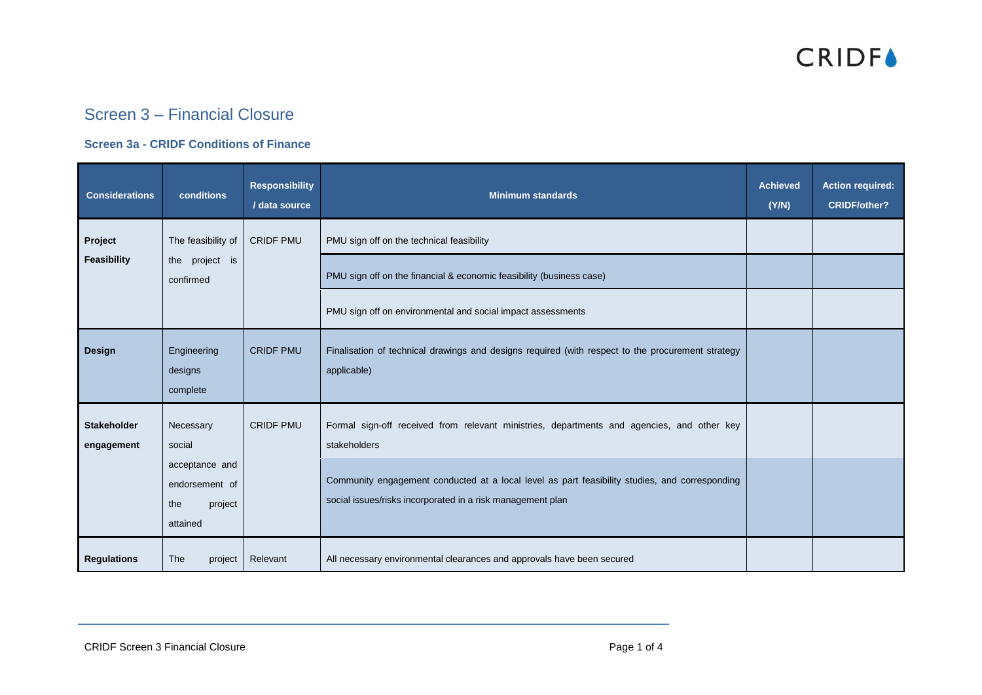

### Screen 3 – Financial Closure

#### **Screen 3a - CRIDF Conditions of Finance**

| <b>Considerations</b>            | conditions                                                                            | <b>Responsibility</b><br>/ data source | <b>Minimum standards</b>                                                                                                                                                                                                                                                   | <b>Achieved</b><br>(Y/N) | <b>Action required:</b><br><b>CRIDF/other?</b> |
|----------------------------------|---------------------------------------------------------------------------------------|----------------------------------------|----------------------------------------------------------------------------------------------------------------------------------------------------------------------------------------------------------------------------------------------------------------------------|--------------------------|------------------------------------------------|
| Project<br>Feasibility           | The feasibility of<br>the project is<br>confirmed                                     | <b>CRIDF PMU</b>                       | PMU sign off on the technical feasibility<br>PMU sign off on the financial & economic feasibility (business case)                                                                                                                                                          |                          |                                                |
| <b>Design</b>                    | Engineering<br>designs<br>complete                                                    | <b>CRIDF PMU</b>                       | PMU sign off on environmental and social impact assessments<br>Finalisation of technical drawings and designs required (with respect to the procurement strategy<br>applicable)                                                                                            |                          |                                                |
| <b>Stakeholder</b><br>engagement | Necessary<br>social<br>acceptance and<br>endorsement of<br>the<br>project<br>attained | <b>CRIDF PMU</b>                       | Formal sign-off received from relevant ministries, departments and agencies, and other key<br>stakeholders<br>Community engagement conducted at a local level as part feasibility studies, and corresponding<br>social issues/risks incorporated in a risk management plan |                          |                                                |
| <b>Regulations</b>               | The<br>project                                                                        | Relevant                               | All necessary environmental clearances and approvals have been secured                                                                                                                                                                                                     |                          |                                                |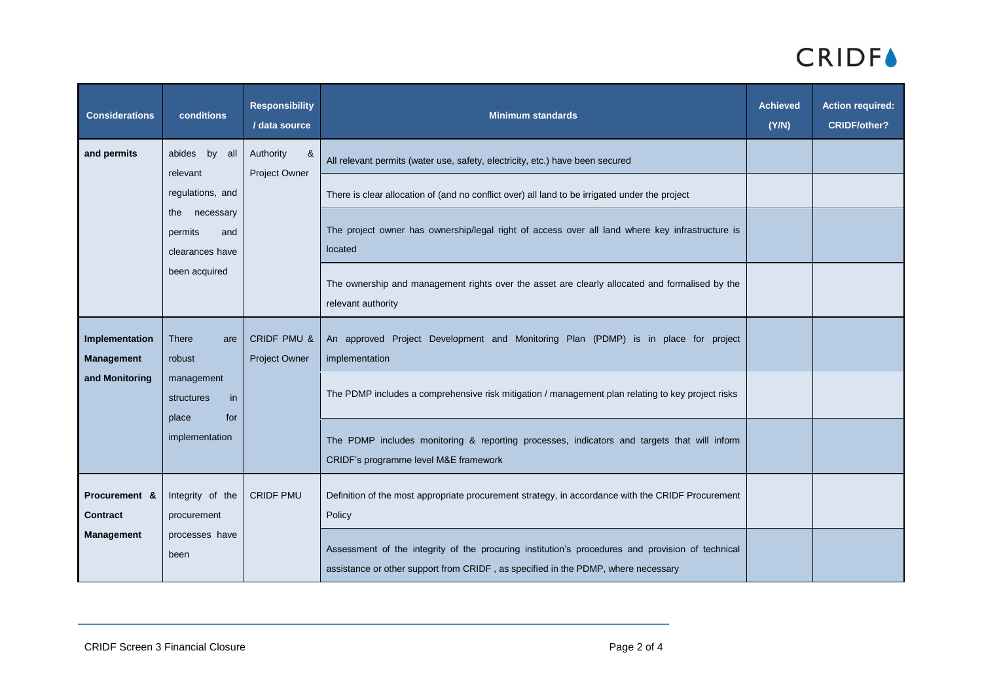# **CRIDF**

| <b>Considerations</b>               | conditions                                                                                                                 | <b>Responsibility</b><br>/ data source               | <b>Minimum standards</b>                                                                                                                                                              | <b>Achieved</b><br>(Y/N) | <b>Action required:</b><br><b>CRIDF/other?</b> |
|-------------------------------------|----------------------------------------------------------------------------------------------------------------------------|------------------------------------------------------|---------------------------------------------------------------------------------------------------------------------------------------------------------------------------------------|--------------------------|------------------------------------------------|
| and permits                         | by all<br>abides<br>relevant<br>regulations, and<br>necessary<br>the<br>permits<br>and<br>clearances have<br>been acquired | Authority<br>&<br>Project Owner                      | All relevant permits (water use, safety, electricity, etc.) have been secured                                                                                                         |                          |                                                |
|                                     |                                                                                                                            |                                                      | There is clear allocation of (and no conflict over) all land to be irrigated under the project                                                                                        |                          |                                                |
|                                     |                                                                                                                            |                                                      | The project owner has ownership/legal right of access over all land where key infrastructure is<br>located                                                                            |                          |                                                |
|                                     |                                                                                                                            |                                                      | The ownership and management rights over the asset are clearly allocated and formalised by the<br>relevant authority                                                                  |                          |                                                |
| Implementation<br><b>Management</b> | <b>There</b><br>are<br>robust                                                                                              | <b>CRIDF PMU &amp;</b><br>Project Owner<br>in<br>for | An approved Project Development and Monitoring Plan (PDMP) is in place for project<br>implementation                                                                                  |                          |                                                |
| and Monitoring                      | management<br>structures<br>place                                                                                          |                                                      | The PDMP includes a comprehensive risk mitigation / management plan relating to key project risks                                                                                     |                          |                                                |
|                                     | implementation                                                                                                             |                                                      | The PDMP includes monitoring & reporting processes, indicators and targets that will inform<br>CRIDF's programme level M&E framework                                                  |                          |                                                |
| Procurement &<br><b>Contract</b>    | Integrity of the<br>procurement                                                                                            | <b>CRIDF PMU</b>                                     | Definition of the most appropriate procurement strategy, in accordance with the CRIDF Procurement<br>Policy                                                                           |                          |                                                |
| <b>Management</b>                   | processes have<br>been                                                                                                     |                                                      | Assessment of the integrity of the procuring institution's procedures and provision of technical<br>assistance or other support from CRIDF, as specified in the PDMP, where necessary |                          |                                                |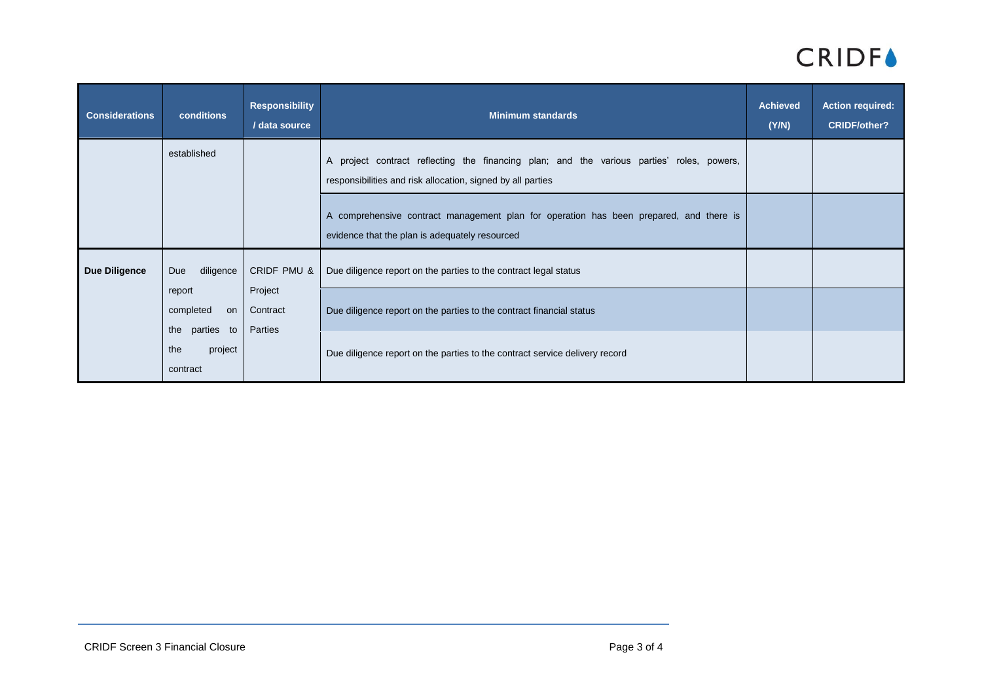## **CRIDF**

| <b>Considerations</b> | conditions                                                           | <b>Responsibility</b><br>/ data source | <b>Minimum standards</b>                                                                                                                                 | <b>Achieved</b><br>(Y/N) | <b>Action required:</b><br><b>CRIDF/other?</b> |
|-----------------------|----------------------------------------------------------------------|----------------------------------------|----------------------------------------------------------------------------------------------------------------------------------------------------------|--------------------------|------------------------------------------------|
|                       | established                                                          |                                        | A project contract reflecting the financing plan; and the various parties' roles, powers,<br>responsibilities and risk allocation, signed by all parties |                          |                                                |
|                       |                                                                      |                                        | A comprehensive contract management plan for operation has been prepared, and there is<br>evidence that the plan is adequately resourced                 |                          |                                                |
| <b>Due Diligence</b>  | diligence<br>Due<br>Project<br>report<br>completed<br>Contract<br>on | CRIDF PMU &<br>Parties                 | Due diligence report on the parties to the contract legal status<br>Due diligence report on the parties to the contract financial status                 |                          |                                                |
|                       | the parties to<br>project<br>the<br>contract                         |                                        | Due diligence report on the parties to the contract service delivery record                                                                              |                          |                                                |